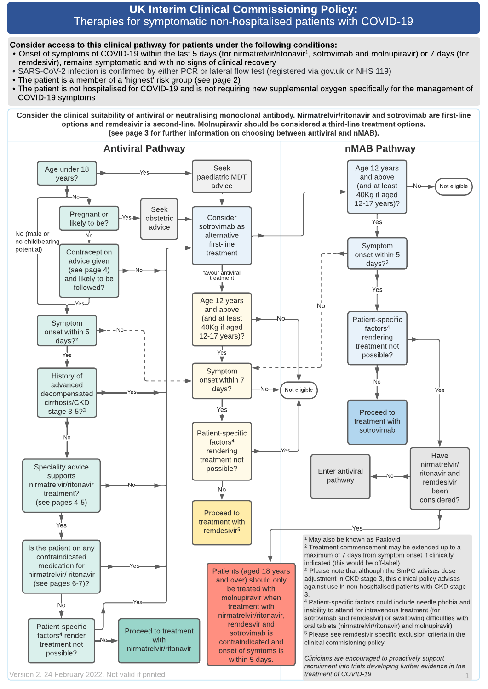#### UK Interim Clinical Commissioning Policy: Therapies for symptomatic non-hospitalised patients with COVID-19

#### Consider access to this clinical pathway for patients under the following conditions:

- Onset of symptoms of COVID-19 within the last 5 days (for nirmatrelvir/ritonavir<sup>1</sup>, sotrovimab and molnupiravir) or 7 days (for remdesivir), remains symptomatic and with no signs of clinical recovery
- SARS-CoV-2 infection is confirmed by either PCR or lateral flow test (registered via gov.uk or NHS 119)
- The patient is a member of a 'highest' risk group (see page 2)
- The patient is not hospitalised for COVID-19 and is not requiring new supplemental oxygen specifically for the management of COVID-19 symptoms

Consider the clinical suitability of antiviral or neutralising monoclonal antibody. Nirmatrelvir/ritonavir and sotrovimab are first-line options and remdesivir is second-line. Molnupiravir should be considered a third-line treatment options. (see page 3 for further information on choosing between antiviral and nMAB).



Version 2. 24 February 2022. Not valid if printed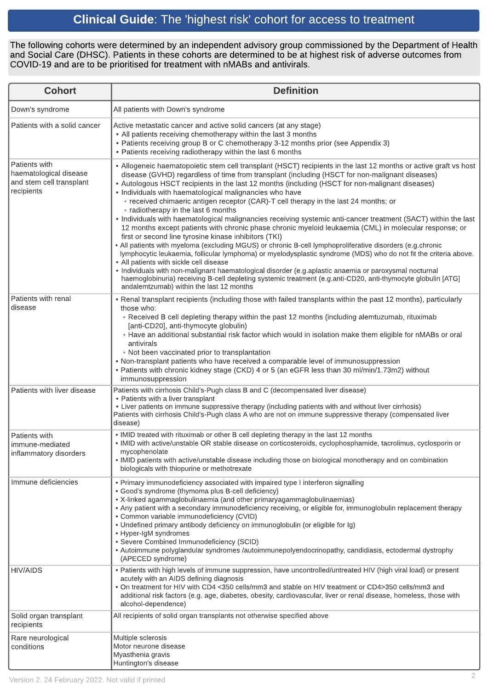# Clinical Guide: The 'highest risk' cohort for access to treatment

The following cohorts were determined by an independent advisory group commissioned by the Department of Health and Social Care (DHSC). Patients in these cohorts are determined to be at highest risk of adverse outcomes from COVID-19 and are to be prioritised for treatment with nMABs and antivirals.

| <b>Cohort</b>                                                                     | <b>Definition</b>                                                                                                                                                                                                                                                                                                                                                                                                                                                                                                                                                                                                                                                                                                                                                                                                                                                                                                                                                                                                                                                                                                                                                                                                                                                                                                                                      |  |
|-----------------------------------------------------------------------------------|--------------------------------------------------------------------------------------------------------------------------------------------------------------------------------------------------------------------------------------------------------------------------------------------------------------------------------------------------------------------------------------------------------------------------------------------------------------------------------------------------------------------------------------------------------------------------------------------------------------------------------------------------------------------------------------------------------------------------------------------------------------------------------------------------------------------------------------------------------------------------------------------------------------------------------------------------------------------------------------------------------------------------------------------------------------------------------------------------------------------------------------------------------------------------------------------------------------------------------------------------------------------------------------------------------------------------------------------------------|--|
| Down's syndrome                                                                   | All patients with Down's syndrome                                                                                                                                                                                                                                                                                                                                                                                                                                                                                                                                                                                                                                                                                                                                                                                                                                                                                                                                                                                                                                                                                                                                                                                                                                                                                                                      |  |
| Patients with a solid cancer                                                      | Active metastatic cancer and active solid cancers (at any stage)<br>• All patients receiving chemotherapy within the last 3 months<br>• Patients receiving group B or C chemotherapy 3-12 months prior (see Appendix 3)<br>• Patients receiving radiotherapy within the last 6 months                                                                                                                                                                                                                                                                                                                                                                                                                                                                                                                                                                                                                                                                                                                                                                                                                                                                                                                                                                                                                                                                  |  |
| Patients with<br>haematological disease<br>and stem cell transplant<br>recipients | • Allogeneic haematopoietic stem cell transplant (HSCT) recipients in the last 12 months or active graft vs host<br>disease (GVHD) regardless of time from transplant (including (HSCT for non-malignant diseases)<br>• Autologous HSCT recipients in the last 12 months (including (HSCT for non-malignant diseases)<br>• Individuals with haematological malignancies who have<br>• received chimaeric antigen receptor (CAR)-T cell therapy in the last 24 months; or<br>• radiotherapy in the last 6 months<br>• Individuals with haematological malignancies receiving systemic anti-cancer treatment (SACT) within the last<br>12 months except patients with chronic phase chronic myeloid leukaemia (CML) in molecular response; or<br>first or second line tyrosine kinase inhibitors (TKI)<br>• All patients with myeloma (excluding MGUS) or chronic B-cell lymphoproliferative disorders (e.g.chronic<br>lymphocytic leukaemia, follicular lymphoma) or myelodysplastic syndrome (MDS) who do not fit the criteria above.<br>• All patients with sickle cell disease<br>· Individuals with non-malignant haematological disorder (e.g.aplastic anaemia or paroxysmal nocturnal<br>haemoglobinuria) receiving B-cell depleting systemic treatment (e.g.anti-CD20, anti-thymocyte globulin [ATG]<br>andalemtzumab) within the last 12 months |  |
| Patients with renal<br>disease                                                    | • Renal transplant recipients (including those with failed transplants within the past 12 months), particularly<br>those who:<br>. Received B cell depleting therapy within the past 12 months (including alemtuzumab, rituximab<br>[anti-CD20], anti-thymocyte globulin)<br>. Have an additional substantial risk factor which would in isolation make them eligible for nMABs or oral<br>antivirals<br>. Not been vaccinated prior to transplantation<br>• Non-transplant patients who have received a comparable level of immunosuppression<br>. Patients with chronic kidney stage (CKD) 4 or 5 (an eGFR less than 30 ml/min/1.73m2) without<br>immunosuppression                                                                                                                                                                                                                                                                                                                                                                                                                                                                                                                                                                                                                                                                                  |  |
| Patients with liver disease                                                       | Patients with cirrhosis Child's-Pugh class B and C (decompensated liver disease)<br>• Patients with a liver transplant<br>• Liver patients on immune suppressive therapy (including patients with and without liver cirrhosis)<br>Patients with cirrhosis Child's-Pugh class A who are not on immune suppressive therapy (compensated liver<br>disease)                                                                                                                                                                                                                                                                                                                                                                                                                                                                                                                                                                                                                                                                                                                                                                                                                                                                                                                                                                                                |  |
| Patients with<br>immune-mediated<br>inflammatory disorders                        | . IMID treated with rituximab or other B cell depleting therapy in the last 12 months<br>· IMID with active/unstable OR stable disease on corticosteroids, cyclophosphamide, tacrolimus, cyclosporin or<br>mycophenolate<br>. IMID patients with active/unstable disease including those on biological monotherapy and on combination<br>biologicals with thiopurine or methotrexate                                                                                                                                                                                                                                                                                                                                                                                                                                                                                                                                                                                                                                                                                                                                                                                                                                                                                                                                                                   |  |
| Immune deficiencies                                                               | • Primary immunodeficiency associated with impaired type I interferon signalling<br>• Good's syndrome (thymoma plus B-cell deficiency)<br>• X-linked agammaglobulinaemia (and other primaryagammaglobulinaemias)<br>• Any patient with a secondary immunodeficiency receiving, or eligible for, immunoglobulin replacement therapy<br>• Common variable immunodeficiency (CVID)<br>• Undefined primary antibody deficiency on immunoglobulin (or eligible for Ig)<br>• Hyper-IgM syndromes<br>· Severe Combined Immunodeficiency (SCID)<br>• Autoimmune polyglandular syndromes /autoimmunepolyendocrinopathy, candidiasis, ectodermal dystrophy<br>(APECED syndrome)                                                                                                                                                                                                                                                                                                                                                                                                                                                                                                                                                                                                                                                                                  |  |
| <b>HIV/AIDS</b>                                                                   | . Patients with high levels of immune suppression, have uncontrolled/untreated HIV (high viral load) or present<br>acutely with an AIDS defining diagnosis<br>. On treatment for HIV with CD4 <350 cells/mm3 and stable on HIV treatment or CD4>350 cells/mm3 and<br>additional risk factors (e.g. age, diabetes, obesity, cardiovascular, liver or renal disease, homeless, those with<br>alcohol-dependence)                                                                                                                                                                                                                                                                                                                                                                                                                                                                                                                                                                                                                                                                                                                                                                                                                                                                                                                                         |  |
| Solid organ transplant<br>recipients                                              | All recipients of solid organ transplants not otherwise specified above                                                                                                                                                                                                                                                                                                                                                                                                                                                                                                                                                                                                                                                                                                                                                                                                                                                                                                                                                                                                                                                                                                                                                                                                                                                                                |  |
| Rare neurological<br>conditions                                                   | Multiple sclerosis<br>Motor neurone disease<br>Myasthenia gravis<br>Huntington's disease                                                                                                                                                                                                                                                                                                                                                                                                                                                                                                                                                                                                                                                                                                                                                                                                                                                                                                                                                                                                                                                                                                                                                                                                                                                               |  |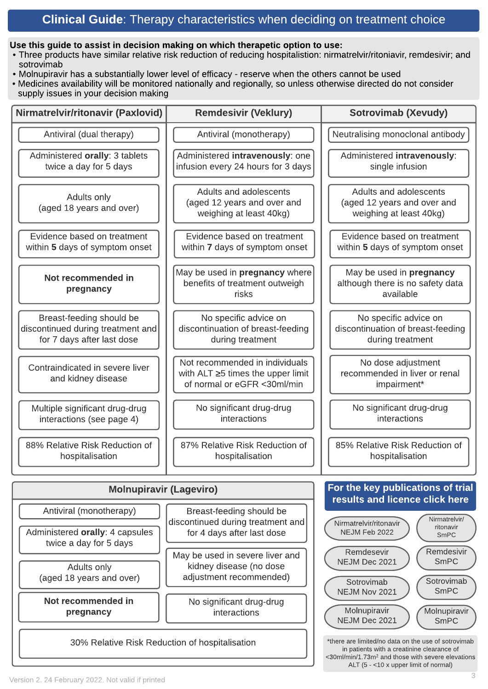### Clinical Guide: Therapy characteristics when deciding on treatment choice

#### Use this guide to assist in decision making on which therapetic option to use:

- Three products have similar relative risk reduction of reducing hospitalistion: nirmatrelvir/ritoniavir, remdesivir; and sotrovimab
- Molnupiravir has a substantially lower level of efficacy reserve when the others cannot be used
- Medicines availability will be monitored nationally and regionally, so unless otherwise directed do not consider supply issues in your decision making

| Nirmatrelvir/ritonavir (Paxlovid)                                                                     | <b>Remdesivir (Veklury)</b>                                                                              | <b>Sotrovimab (Xevudy)</b>                                                            |  |  |
|-------------------------------------------------------------------------------------------------------|----------------------------------------------------------------------------------------------------------|---------------------------------------------------------------------------------------|--|--|
| Antiviral (dual therapy)                                                                              | Antiviral (monotherapy)                                                                                  | Neutralising monoclonal antibody                                                      |  |  |
| Administered orally: 3 tablets<br>twice a day for 5 days                                              | Administered intravenously: one<br>infusion every 24 hours for 3 days                                    | Administered intravenously:<br>single infusion                                        |  |  |
| Adults only<br>(aged 18 years and over)                                                               | Adults and adolescents<br>(aged 12 years and over and<br>weighing at least 40kg)                         | Adults and adolescents<br>(aged 12 years and over and<br>weighing at least 40kg)      |  |  |
| Evidence based on treatment<br>within 5 days of symptom onset                                         | Evidence based on treatment<br>within 7 days of symptom onset                                            | Evidence based on treatment<br>within 5 days of symptom onset                         |  |  |
| Not recommended in<br>pregnancy                                                                       | May be used in pregnancy where<br>benefits of treatment outweigh<br>risks                                | May be used in pregnancy<br>although there is no safety data<br>available             |  |  |
| Breast-feeding should be<br>discontinued during treatment and<br>for 7 days after last dose           | No specific advice on<br>discontinuation of breast-feeding<br>during treatment                           | No specific advice on<br>discontinuation of breast-feeding<br>during treatment        |  |  |
| Contraindicated in severe liver<br>and kidney disease                                                 | Not recommended in individuals<br>with ALT $\geq$ 5 times the upper limit<br>of normal or eGFR <30ml/min | No dose adjustment<br>recommended in liver or renal<br>impairment*                    |  |  |
| Multiple significant drug-drug<br>interactions (see page 4)                                           | No significant drug-drug<br>interactions                                                                 | No significant drug-drug<br>interactions                                              |  |  |
| 88% Relative Risk Reduction of<br>hospitalisation                                                     | 87% Relative Risk Reduction of<br>hospitalisation                                                        | 85% Relative Risk Reduction of<br>hospitalisation                                     |  |  |
| For the key publications of trial<br><b>Molnupiravir (Lageviro)</b>                                   |                                                                                                          |                                                                                       |  |  |
| Antiviral (monotherapy)                                                                               | Breast-feeding should be                                                                                 | results and licence click here<br>Nirmatrelvir/                                       |  |  |
| Administered orally: 4 capsules<br>twice a day for 5 days                                             | discontinued during treatment and<br>for 4 days after last dose                                          | Nirmatrelvir/ritonavir<br>ritonavir<br>NEJM Feb 2022<br>SmPC                          |  |  |
| Adults only<br>(aged 18 years and over)                                                               | May be used in severe liver and<br>kidney disease (no dose<br>adjustment recommended)                    | Remdesivir<br>Remdesevir<br>SmPC<br>NEJM Dec 2021<br>Sotrovimab<br>Sotrovimab<br>SmPC |  |  |
| Not recommended in<br>pregnancy                                                                       | No significant drug-drug<br>interactions                                                                 | NEJM Nov 2021<br>Molnupiravir<br>Molnupiravir<br>NEJM Dec 2021<br>SmPC                |  |  |
| *there are limited/no data on the use of sotrovimab<br>30% Relative Risk Reduction of hospitalisation |                                                                                                          |                                                                                       |  |  |

\*there are limited/no data on the use of sotrovimab in patients with a creatinine clearance of <30ml/min/1.73m<sup>2</sup> and those with severe elevations ALT (5 - <10 x upper limit of normal)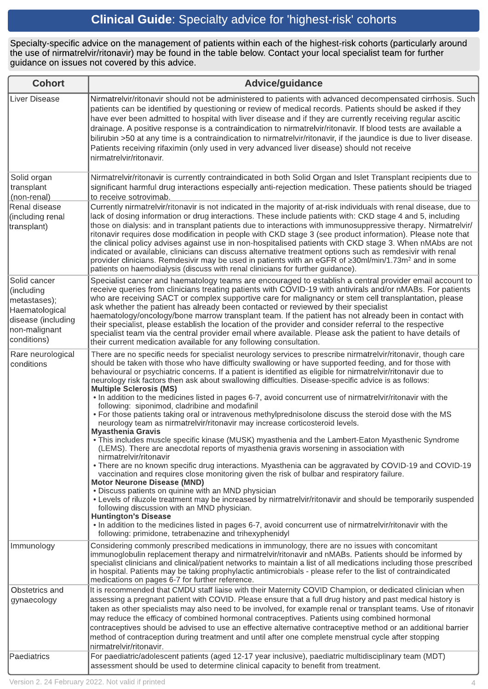# Clinical Guide: Specialty advice for 'highest-risk' cohorts

Specialty-specific advice on the management of patients within each of the highest-risk cohorts (particularly around the use of nirmatrelvir/ritonavir) may be found in the table below. Contact your local specialist team for further guidance on issues not covered by this advice.

| <b>Cohort</b>                                                                                                      | <b>Advice/guidance</b>                                                                                                                                                                                                                                                                                                                                                                                                                                                                                                                                                                                                                                                                                                                                                                                                                                                                                                                                                                                                                                                                                                                                                                                                                                                                                                                                                                                                                                                                                                                                                                                                                                                                                                                                                                 |
|--------------------------------------------------------------------------------------------------------------------|----------------------------------------------------------------------------------------------------------------------------------------------------------------------------------------------------------------------------------------------------------------------------------------------------------------------------------------------------------------------------------------------------------------------------------------------------------------------------------------------------------------------------------------------------------------------------------------------------------------------------------------------------------------------------------------------------------------------------------------------------------------------------------------------------------------------------------------------------------------------------------------------------------------------------------------------------------------------------------------------------------------------------------------------------------------------------------------------------------------------------------------------------------------------------------------------------------------------------------------------------------------------------------------------------------------------------------------------------------------------------------------------------------------------------------------------------------------------------------------------------------------------------------------------------------------------------------------------------------------------------------------------------------------------------------------------------------------------------------------------------------------------------------------|
| Liver Disease                                                                                                      | Nirmatrelvir/ritonavir should not be administered to patients with advanced decompensated cirrhosis. Such<br>patients can be identified by questioning or review of medical records. Patients should be asked if they<br>have ever been admitted to hospital with liver disease and if they are currently receiving regular ascitic<br>drainage. A positive response is a contraindication to nirmatrelvir/ritonavir. If blood tests are available a<br>bilirubin >50 at any time is a contraindication to nirmatrelvir/ritonavir, if the jaundice is due to liver disease.<br>Patients receiving rifaximin (only used in very advanced liver disease) should not receive<br>nirmatrelvir/ritonavir.                                                                                                                                                                                                                                                                                                                                                                                                                                                                                                                                                                                                                                                                                                                                                                                                                                                                                                                                                                                                                                                                                   |
| Solid organ<br>transplant<br>(non-renal)                                                                           | Nirmatrelvir/ritonavir is currently contraindicated in both Solid Organ and Islet Transplant recipients due to<br>significant harmful drug interactions especially anti-rejection medication. These patients should be triaged<br>to receive sotrovimab.                                                                                                                                                                                                                                                                                                                                                                                                                                                                                                                                                                                                                                                                                                                                                                                                                                                                                                                                                                                                                                                                                                                                                                                                                                                                                                                                                                                                                                                                                                                               |
| Renal disease<br>(including renal<br>transplant)                                                                   | Currently nirmatrelvir/ritonavir is not indicated in the majority of at-risk individuals with renal disease, due to<br>lack of dosing information or drug interactions. These include patients with: CKD stage 4 and 5, including<br>those on dialysis: and in transplant patients due to interactions with immunosuppressive therapy. Nirmatrelvir/<br>ritonavir requires dose modification in people with CKD stage 3 (see product information). Please note that<br>the clinical policy advises against use in non-hospitalised patients with CKD stage 3. When nMAbs are not<br>indicated or available, clinicians can discuss alternative treatment options such as remdesivir with renal<br>provider clinicians. Remdesivir may be used in patients with an eGFR of ≥30ml/min/1.73m <sup>2</sup> and in some<br>patients on haemodialysis (discuss with renal clinicians for further guidance).                                                                                                                                                                                                                                                                                                                                                                                                                                                                                                                                                                                                                                                                                                                                                                                                                                                                                  |
| Solid cancer<br>(including<br>metastases);<br>Haematological<br>disease (including<br>non-malignant<br>conditions) | Specialist cancer and haematology teams are encouraged to establish a central provider email account to<br>receive queries from clinicians treating patients with COVID-19 with antivirals and/or nMABs. For patients<br>who are receiving SACT or complex supportive care for malignancy or stem cell transplantation, please<br>ask whether the patient has already been contacted or reviewed by their specialist<br>haematology/oncology/bone marrow transplant team. If the patient has not already been in contact with<br>their specialist, please establish the location of the provider and consider referral to the respective<br>specialist team via the central provider email where available. Please ask the patient to have details of<br>their current medication available for any following consultation.                                                                                                                                                                                                                                                                                                                                                                                                                                                                                                                                                                                                                                                                                                                                                                                                                                                                                                                                                            |
| Rare neurological<br>conditions                                                                                    | There are no specific needs for specialist neurology services to prescribe nirmatrelvir/ritonavir, though care<br>should be taken with those who have difficulty swallowing or have supported feeding, and for those with<br>behavioural or psychiatric concerns. If a patient is identified as eligible for nirmatrelvir/ritonavir due to<br>neurology risk factors then ask about swallowing difficulties. Disease-specific advice is as follows:<br><b>Multiple Sclerosis (MS)</b><br>. In addition to the medicines listed in pages 6-7, avoid concurrent use of nirmatrelvir/ritonavir with the<br>following: siponimod, cladribine and modafinil<br>. For those patients taking oral or intravenous methylprednisolone discuss the steroid dose with the MS<br>neurology team as nirmatrelvir/ritonavir may increase corticosteroid levels.<br><b>Myasthenia Gravis</b><br>. This includes muscle specific kinase (MUSK) myasthenia and the Lambert-Eaton Myasthenic Syndrome<br>(LEMS). There are anecdotal reports of myasthenia gravis worsening in association with<br>nirmatrelvir/ritonavir<br>• There are no known specific drug interactions. Myasthenia can be aggravated by COVID-19 and COVID-19<br>vaccination and requires close monitoring given the risk of bulbar and respiratory failure.<br><b>Motor Neurone Disease (MND)</b><br>• Discuss patients on quinine with an MND physician<br>• Levels of riluzole treatment may be increased by nirmatrelvir/ritonavir and should be temporarily suspended<br>following discussion with an MND physician.<br><b>Huntington's Disease</b><br>. In addition to the medicines listed in pages 6-7, avoid concurrent use of nirmatrelvir/ritonavir with the<br>following: primidone, tetrabenazine and trihexyphenidyl |
| Immunology                                                                                                         | Considering commonly prescribed medications in immunology, there are no issues with concomitant<br>immunoglobulin replacement therapy and nirmatrelvir/ritonavir and nMABs. Patients should be informed by<br>specialist clinicians and clinical/patient networks to maintain a list of all medications including those prescribed<br>in hospital. Patients may be taking prophylactic antimicrobials - please refer to the list of contraindicated<br>medications on pages 6-7 for further reference.                                                                                                                                                                                                                                                                                                                                                                                                                                                                                                                                                                                                                                                                                                                                                                                                                                                                                                                                                                                                                                                                                                                                                                                                                                                                                 |
| Obstetrics and<br>gynaecology<br>Paediatrics                                                                       | It is recommended that CMDU staff liaise with their Maternity COVID Champion, or dedicated clinician when<br>assessing a pregnant patient with COVID. Please ensure that a full drug history and past medical history is<br>taken as other specialists may also need to be involved, for example renal or transplant teams. Use of ritonavir<br>may reduce the efficacy of combined hormonal contraceptives. Patients using combined hormonal<br>contraceptives should be advised to use an effective alternative contraceptive method or an additional barrier<br>method of contraception during treatment and until after one complete menstrual cycle after stopping<br>nirmatrelvir/ritonavir.<br>For paediatric/adolescent patients (aged 12-17 year inclusive), paediatric multidisciplinary team (MDT)                                                                                                                                                                                                                                                                                                                                                                                                                                                                                                                                                                                                                                                                                                                                                                                                                                                                                                                                                                          |
|                                                                                                                    | assessment should be used to determine clinical capacity to benefit from treatment.                                                                                                                                                                                                                                                                                                                                                                                                                                                                                                                                                                                                                                                                                                                                                                                                                                                                                                                                                                                                                                                                                                                                                                                                                                                                                                                                                                                                                                                                                                                                                                                                                                                                                                    |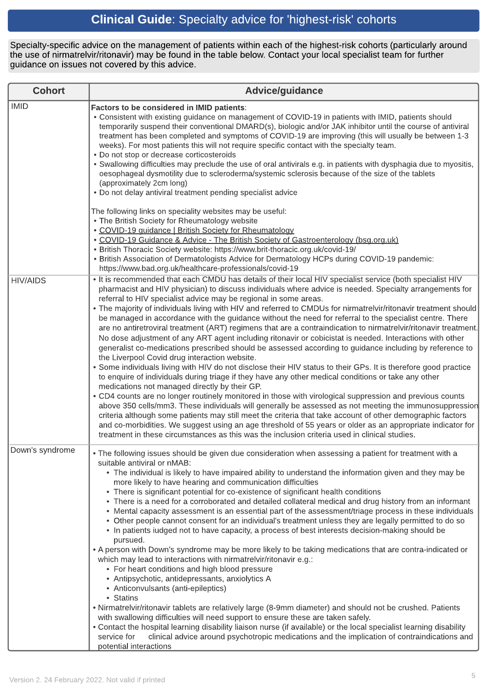# Clinical Guide: Specialty advice for 'highest-risk' cohorts

Specialty-specific advice on the management of patients within each of the highest-risk cohorts (particularly around the use of nirmatrelvir/ritonavir) may be found in the table below. Contact your local specialist team for further guidance on issues not covered by this advice.

| <b>Cohort</b>   | <b>Advice/guidance</b>                                                                                                                                                                                                                                                                                                                                                                                                                                                                                                                                                                                                                                                                                                                                                                                                                                                                                                                                                                                                                                                                                                                                                                                                                                                                                                                                                                                                                                                                                                                                                                                                                                                                                                                           |
|-----------------|--------------------------------------------------------------------------------------------------------------------------------------------------------------------------------------------------------------------------------------------------------------------------------------------------------------------------------------------------------------------------------------------------------------------------------------------------------------------------------------------------------------------------------------------------------------------------------------------------------------------------------------------------------------------------------------------------------------------------------------------------------------------------------------------------------------------------------------------------------------------------------------------------------------------------------------------------------------------------------------------------------------------------------------------------------------------------------------------------------------------------------------------------------------------------------------------------------------------------------------------------------------------------------------------------------------------------------------------------------------------------------------------------------------------------------------------------------------------------------------------------------------------------------------------------------------------------------------------------------------------------------------------------------------------------------------------------------------------------------------------------|
| <b>IMID</b>     | Factors to be considered in IMID patients:<br>. Consistent with existing guidance on management of COVID-19 in patients with IMID, patients should<br>temporarily suspend their conventional DMARD(s), biologic and/or JAK inhibitor until the course of antiviral<br>treatment has been completed and symptoms of COVID-19 are improving (this will usually be between 1-3<br>weeks). For most patients this will not require specific contact with the specialty team.<br>• Do not stop or decrease corticosteroids<br>• Swallowing difficulties may preclude the use of oral antivirals e.g. in patients with dysphagia due to myositis,<br>oesophageal dysmotility due to scleroderma/systemic sclerosis because of the size of the tablets<br>(approximately 2cm long)<br>• Do not delay antiviral treatment pending specialist advice                                                                                                                                                                                                                                                                                                                                                                                                                                                                                                                                                                                                                                                                                                                                                                                                                                                                                                      |
|                 | The following links on speciality websites may be useful:<br>• The British Society for Rheumatology website<br>• COVID-19 quidance   British Society for Rheumatology<br>. COVID-19 Guidance & Advice - The British Society of Gastroenterology (bsg.org.uk)<br>• British Thoracic Society website: https://www.brit-thoracic.org.uk/covid-19/<br>· British Association of Dermatologists Advice for Dermatology HCPs during COVID-19 pandemic:<br>https://www.bad.org.uk/healthcare-professionals/covid-19                                                                                                                                                                                                                                                                                                                                                                                                                                                                                                                                                                                                                                                                                                                                                                                                                                                                                                                                                                                                                                                                                                                                                                                                                                      |
| <b>HIV/AIDS</b> | . It is recommended that each CMDU has details of their local HIV specialist service (both specialist HIV<br>pharmacist and HIV physician) to discuss individuals where advice is needed. Specialty arrangements for<br>referral to HIV specialist advice may be regional in some areas.<br>. The majority of individuals living with HIV and referred to CMDUs for nirmatrelvir/ritonavir treatment should<br>be managed in accordance with the guidance without the need for referral to the specialist centre. There<br>are no antiretroviral treatment (ART) regimens that are a contraindication to nirmatrelvir/ritonavir treatment.<br>No dose adjustment of any ART agent including ritonavir or cobicistat is needed. Interactions with other<br>generalist co-medications prescribed should be assessed according to guidance including by reference to<br>the Liverpool Covid drug interaction website.<br>• Some individuals living with HIV do not disclose their HIV status to their GPs. It is therefore good practice<br>to enquire of individuals during triage if they have any other medical conditions or take any other<br>medications not managed directly by their GP.<br>. CD4 counts are no longer routinely monitored in those with virological suppression and previous counts<br>above 350 cells/mm3. These individuals will generally be assessed as not meeting the immunosuppression<br>criteria although some patients may still meet the criteria that take account of other demographic factors<br>and co-morbidities. We suggest using an age threshold of 55 years or older as an appropriate indicator for<br>treatment in these circumstances as this was the inclusion criteria used in clinical studies. |
| Down's syndrome | • The following issues should be given due consideration when assessing a patient for treatment with a<br>suitable antiviral or nMAB:<br>• The individual is likely to have impaired ability to understand the information given and they may be<br>more likely to have hearing and communication difficulties<br>• There is significant potential for co-existence of significant health conditions<br>• There is a need for a corroborated and detailed collateral medical and drug history from an informant<br>• Mental capacity assessment is an essential part of the assessment/triage process in these individuals<br>• Other people cannot consent for an individual's treatment unless they are legally permitted to do so<br>• In patients iudged not to have capacity, a process of best interests decision-making should be<br>pursued.<br>• A person with Down's syndrome may be more likely to be taking medications that are contra-indicated or<br>which may lead to interactions with nirmatrelvir/ritonavir e.g.:<br>• For heart conditions and high blood pressure<br>• Antipsychotic, antidepressants, anxiolytics A<br>• Anticonvulsants (anti-epileptics)<br>• Statins<br>• Nirmatrelvir/ritonavir tablets are relatively large (8-9mm diameter) and should not be crushed. Patients<br>with swallowing difficulties will need support to ensure these are taken safely.<br>• Contact the hospital learning disability liaison nurse (if available) or the local specialist learning disability<br>clinical advice around psychotropic medications and the implication of contraindications and<br>service for<br>potential interactions                                                                                  |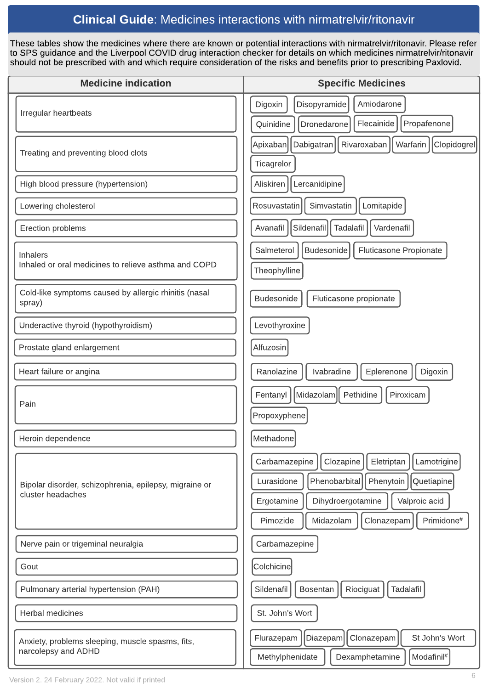## Clinical Guide: Medicines interactions with nirmatrelvir/ritonavir

These tables show the medicines where there are known or potential interactions with [nirmatrelvir/ritonavir.](https://www.sps.nhs.uk/home/guidance/covid-19-treatments/oral-antivirals/) Please refer to [SPS](https://www.sps.nhs.uk/home/guidance/covid-19-treatments/oral-antivirals/) [guidance](https://www.sps.nhs.uk/home/guidance/covid-19-treatments/oral-antivirals/) and the [Liverpool](https://www.covid19-druginteractions.org/) [COVID](https://www.covid19-druginteractions.org/) [drug](https://www.covid19-druginteractions.org/) [interaction](https://www.covid19-druginteractions.org/) [checker](https://www.covid19-druginteractions.org/) for details on which medicines nirmatrelvir/ritonavir should not be prescribed with and which require consideration of the risks and benefits prior to prescribing Paxlovid.

| <b>Medicine indication</b>                                                  | <b>Specific Medicines</b>                                                                                                                                                                                                  |
|-----------------------------------------------------------------------------|----------------------------------------------------------------------------------------------------------------------------------------------------------------------------------------------------------------------------|
| Irregular heartbeats                                                        | Digoxin<br>Disopyramide<br>Amiodarone<br>Flecainide<br>Quinidine<br>Propafenone<br>Dronedarone                                                                                                                             |
| Treating and preventing blood clots                                         | Apixaban<br>Rivaroxaban<br>Clopidogrel<br>Dabigatran<br>Warfarin<br>Ticagrelor                                                                                                                                             |
| High blood pressure (hypertension)                                          | Aliskiren<br>Lercanidipine                                                                                                                                                                                                 |
| Lowering cholesterol                                                        | Simvastatin<br>Rosuvastatin<br>Lomitapide                                                                                                                                                                                  |
| Erection problems                                                           | Avanafil<br>Sildenafil<br>Tadalafil<br>Vardenafil                                                                                                                                                                          |
| <b>Inhalers</b><br>Inhaled or oral medicines to relieve asthma and COPD     | Budesonide<br>Salmeterol<br>Fluticasone Propionate<br>Theophylline                                                                                                                                                         |
| Cold-like symptoms caused by allergic rhinitis (nasal<br>spray)             | Budesonide<br>Fluticasone propionate                                                                                                                                                                                       |
| Underactive thyroid (hypothyroidism)                                        | Levothyroxine                                                                                                                                                                                                              |
| Prostate gland enlargement                                                  | Alfuzosin                                                                                                                                                                                                                  |
| Heart failure or angina                                                     | Ranolazine<br>Ivabradine<br>Eplerenone<br>Digoxin                                                                                                                                                                          |
| Pain                                                                        | Midazolam<br>Pethidine<br>Fentanyl<br>Piroxicam<br>Propoxyphene                                                                                                                                                            |
| Heroin dependence                                                           | Methadone                                                                                                                                                                                                                  |
| Bipolar disorder, schizophrenia, epilepsy, migraine or<br>cluster headaches | Carbamazepine<br>Clozapine<br>Eletriptan<br>Lamotrigine<br>Phenobarbital<br>Lurasidone<br>Phenytoin<br>Quetiapine<br>Dihydroergotamine<br>Valproic acid<br>Ergotamine<br>Pimozide<br>Midazolam<br>Clonazepam<br>Primidone# |
| Nerve pain or trigeminal neuralgia                                          | Carbamazepine                                                                                                                                                                                                              |
| Gout                                                                        | Colchicine                                                                                                                                                                                                                 |
| Pulmonary arterial hypertension (PAH)                                       | Sildenafil<br>Riociguat<br>Tadalafil<br><b>Bosentan</b>                                                                                                                                                                    |
| <b>Herbal medicines</b>                                                     | St. John's Wort                                                                                                                                                                                                            |
| Anxiety, problems sleeping, muscle spasms, fits,<br>narcolepsy and ADHD     | St John's Wort<br>Diazepam<br>Clonazepam<br>Flurazepam<br>Methylphenidate<br>Dexamphetamine<br>Modafinil <sup>#</sup>                                                                                                      |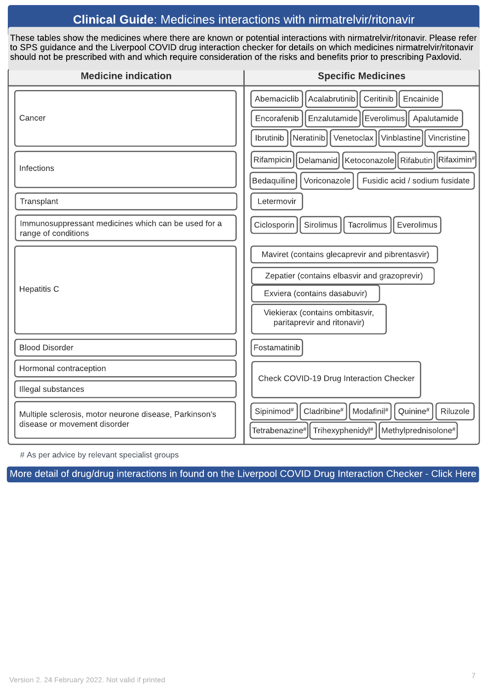### Clinical Guide: Medicines interactions with nirmatrelvir/ritonavir

These tables show the medicines where there are known or potential interactions with [nirmatrelvir/ritonavir.](https://www.sps.nhs.uk/home/guidance/covid-19-treatments/oral-antivirals/) Please refer to [SPS](https://www.sps.nhs.uk/home/guidance/covid-19-treatments/oral-antivirals/) [guidance](https://www.sps.nhs.uk/home/guidance/covid-19-treatments/oral-antivirals/) and the [Liverpool](https://www.covid19-druginteractions.org/) [COVID](https://www.covid19-druginteractions.org/) [drug](https://www.covid19-druginteractions.org/) [interaction](https://www.covid19-druginteractions.org/) [checker](https://www.covid19-druginteractions.org/) for details on which medicines nirmatrelvir/ritonavir should not be prescribed with and which require consideration of the risks and benefits prior to prescribing Paxlovid.

| <b>Medicine indication</b>                                                             | <b>Specific Medicines</b>                                                                                                                                                                         |
|----------------------------------------------------------------------------------------|---------------------------------------------------------------------------------------------------------------------------------------------------------------------------------------------------|
| Cancer                                                                                 | Abemaciclib<br>Acalabrutinib<br>Ceritinib<br>Encainide<br>Enzalutamide   Everolimus  <br>Encorafenib<br>Apalutamide<br>Venetoclax   Vinblastine  <br>Ibrutinib<br>Neratinib<br>Vincristine        |
| <b>Infections</b>                                                                      | Rifampicin<br>Rifabutin   Rifaximin#<br>Delamanid   Ketoconazole  <br>Bedaquiline<br>Voriconazole<br>Fusidic acid / sodium fusidate                                                               |
| Transplant                                                                             | Letermovir                                                                                                                                                                                        |
| Immunosuppressant medicines which can be used for a<br>range of conditions             | Ciclosporin<br>Sirolimus<br><b>Tacrolimus</b><br>Everolimus                                                                                                                                       |
| <b>Hepatitis C</b>                                                                     | Maviret (contains glecaprevir and pibrentasvir)<br>Zepatier (contains elbasvir and grazoprevir)<br>Exviera (contains dasabuvir)<br>Viekierax (contains ombitasvir,<br>paritaprevir and ritonavir) |
| <b>Blood Disorder</b>                                                                  | Fostamatinib                                                                                                                                                                                      |
| Hormonal contraception                                                                 | Check COVID-19 Drug Interaction Checker                                                                                                                                                           |
| Illegal substances                                                                     |                                                                                                                                                                                                   |
| Multiple sclerosis, motor neurone disease, Parkinson's<br>disease or movement disorder | Cladribine <sup>#</sup><br>Sipinimod <sup>#</sup><br>Modafinil <sup>#</sup><br>Quinine <sup>#</sup><br>Riluzole<br>Tetrabenazine# <br>Trihexyphenidyl#<br>Methylprednisolone#                     |

# As per advice by relevant specialist groups

More detail of drug/drug [interactions](https://covid19-druginteractions.org/checker) in found on the Liverpool COVID Drug Interaction Checker - Click Here